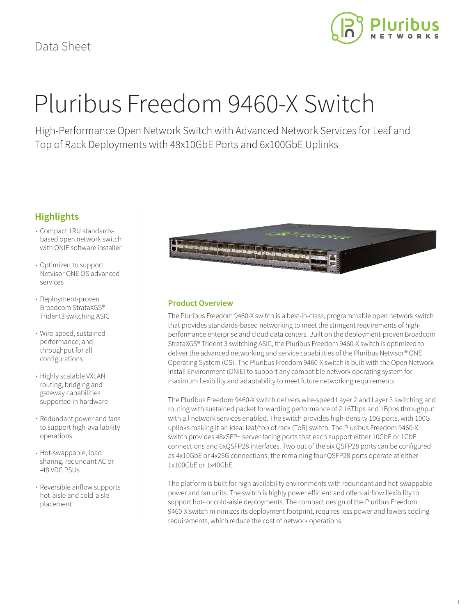

# Pluribus Freedom 9460-X Switch

High-Performance Open Network Switch with Advanced Network Services for Leaf and Top of Rack Deployments with 48x10GbE Ports and 6x100GbE Uplinks

### **Highlights**

- Compact 1RU standardsbased open network switch with ONIE software installer
- Optimized to support Netvisor ONE OS advanced services
- Deployment-proven Broadcom StrataXGS® Trident3 switching ASIC
- Wire-speed, sustained performance, and throughput for all configurations
- Highly scalable VXLAN routing, bridging and gateway capabilities supported in hardware
- Redundant power and fans to support high-availability operations
- Hot-swappable, load sharing, redundant AC or -48 VDC PSUs
- Reversible airflow supports hot-aisle and cold-aisle placement



#### **Product Overview**

The Pluribus Freedom 9460-X switch is a best-in-class, programmable open network switch that provides standards-based networking to meet the stringent requirements of highperformance enterprise and cloud data centers. Built on the deployment-proven Broadcom StrataXGS® Trident 3 switching ASIC, the Pluribus Freedom 9460-X switch is optimized to deliver the advanced networking and service capabilities of the Pluribus Netvisor® ONE Operating System (OS). The Pluribus Freedom 9460-X switch is built with the Open Network Install Environment (ONIE) to support any compatible network operating system for maximum flexibility and adaptability to meet future networking requirements.

The Pluribus Freedom 9460-X switch delivers wire-speed Layer 2 and Layer 3 switching and routing with sustained packet forwarding performance of 2.16Tbps and 1Bpps throughput with all network services enabled. The switch provides high-density 10G ports, with 100G uplinks making it an ideal leaf/top of rack (ToR) switch. The Pluribus Freedom 9460-X switch provides 48xSFP+ server-facing ports that each support either 10GbE or 1GbE connections and 6xQSFP28 interfaces. Two out of the six QSFP28 ports can be configured as 4x10GbE or 4x25G connections, the remaining four QSFP28 ports operate at either 1x100GbE or 1x40GbE.

The platform is built for high availability environments with redundant and hot-swappable power and fan units. The switch is highly power efficient and offers airflow flexibility to support hot- or cold-aisle deployments. The compact design of the Pluribus Freedom 9460-X switch minimizes its deployment footprint, requires less power and lowers cooling requirements, which reduce the cost of network operations.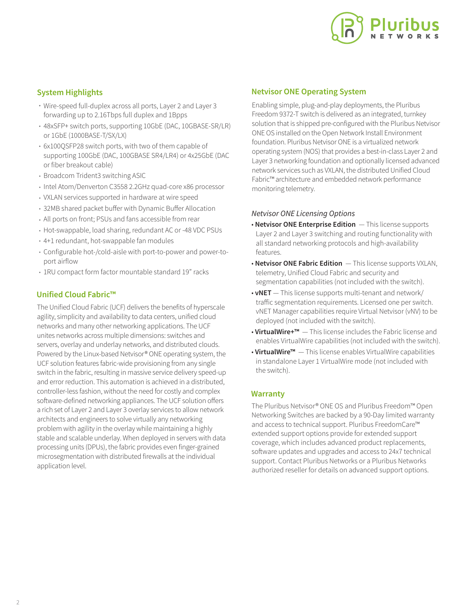

#### **System Highlights**

- Wire-speed full-duplex across all ports, Layer 2 and Layer 3 forwarding up to 2.16Tbps full duplex and 1Bpps
- 48xSFP+ switch ports, supporting 10GbE (DAC, 10GBASE-SR/LR) or 1GbE (1000BASE-T/SX/LX)
- 6x100QSFP28 switch ports, with two of them capable of supporting 100GbE (DAC, 100GBASE SR4/LR4) or 4x25GbE (DAC or fiber breakout cable)
- Broadcom Trident3 switching ASIC
- Intel Atom/Denverton C3558 2.2GHz quad-core x86 processor
- VXLAN services supported in hardware at wire speed
- 32MB shared packet buffer with Dynamic Buffer Allocation
- All ports on front; PSUs and fans accessible from rear
- Hot-swappable, load sharing, redundant AC or -48 VDC PSUs
- 4+1 redundant, hot-swappable fan modules
- Configurable hot-/cold-aisle with port-to-power and power-toport airflow
- 1RU compact form factor mountable standard 19" racks

#### **Unified Cloud Fabric™**

The Unified Cloud Fabric (UCF) delivers the benefits of hyperscale agility, simplicity and availability to data centers, unified cloud networks and many other networking applications. The UCF unites networks across multiple dimensions: switches and servers, overlay and underlay networks, and distributed clouds. Powered by the Linux-based Netvisor® ONE operating system, the UCF solution features fabric-wide provisioning from any single switch in the fabric, resulting in massive service delivery speed-up and error reduction. This automation is achieved in a distributed, controller-less fashion, without the need for costly and complex software-defined networking appliances. The UCF solution offers a rich set of Layer 2 and Layer 3 overlay services to allow network architects and engineers to solve virtually any networking problem with agility in the overlay while maintaining a highly stable and scalable underlay. When deployed in servers with data processing units (DPUs), the fabric provides even finger-grained microsegmentation with distributed firewalls at the individual application level.

#### **Netvisor ONE Operating System**

Enabling simple, plug-and-play deployments, the Pluribus Freedom 9372-T switch is delivered as an integrated, turnkey solution that is shipped pre-configured with the Pluribus Netvisor ONE OS installed on the Open Network Install Environment foundation. Pluribus Netvisor ONE is a virtualized network operating system (NOS) that provides a best-in-class Layer 2 and Layer 3 networking foundation and optionally licensed advanced network services such as VXLAN, the distributed Unified Cloud Fabric™ architecture and embedded network performance monitoring telemetry.

#### *Netvisor ONE Licensing Options*

- **Netvisor ONE Enterprise Edition**  This license supports Layer 2 and Layer 3 switching and routing functionality with all standard networking protocols and high-availability features.
- **Netvisor ONE Fabric Edition**  This license supports VXLAN, telemetry, Unified Cloud Fabric and security and segmentation capabilities (not included with the switch).
- **vNET**  This license supports multi-tenant and network/ traffic segmentation requirements. Licensed one per switch. vNET Manager capabilities require Virtual Netvisor (vNV) to be deployed (not included with the switch).
- **VirtualWire+™**  This license includes the Fabric license and enables VirtualWire capabilities (not included with the switch).
- **VirtualWire™**  This license enables VirtualWire capabilities in standalone Layer 1 VirtualWire mode (not included with the switch).

#### **Warranty**

The Pluribus Netvisor® ONE OS and Pluribus Freedom™ Open Networking Switches are backed by a 90-Day limited warranty and access to technical support. Pluribus FreedomCare™ extended support options provide for extended support coverage, which includes advanced product replacements, software updates and upgrades and access to 24x7 technical support. Contact Pluribus Networks or a Pluribus Networks authorized reseller for details on advanced support options.